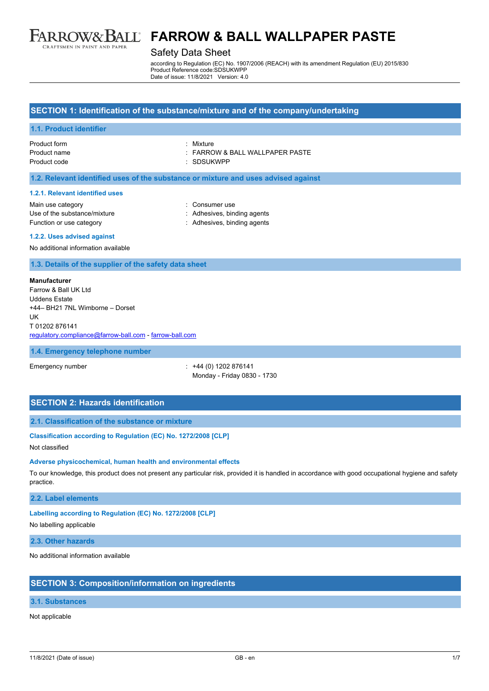

#### Safety Data Sheet

according to Regulation (EC) No. 1907/2006 (REACH) with its amendment Regulation (EU) 2015/830 Product Reference code:SDSUKWPP Date of issue: 11/8/2021 Version: 4.0

#### **SECTION 1: Identification of the substance/mixture and of the company/undertaking**

#### **1.1. Product identifier**

| Product form |  |
|--------------|--|
| Product name |  |
| Product code |  |

**Product form in the form :** : FARROW & BALL WALLPAPER PASTE : SDSUKWPP

#### **1.2. Relevant identified uses of the substance or mixture and uses advised against**

#### **1.2.1. Relevant identified uses**

| Main use category            |
|------------------------------|
| Use of the substance/mixture |
| Function or use category     |

: Consumer use : Adhesives, binding agents : Adhesives, binding agents

#### **1.2.2. Uses advised against**

No additional information available

**1.3. Details of the supplier of the safety data sheet**

#### **Manufacturer**

Farrow & Ball UK Ltd Uddens Estate +44– BH21 7NL Wimborne – Dorset UK T 01202 876141 [regulatory.compliance@farrow-ball.com](mailto:regulatory.compliance@farrow-ball.com) - [farrow-ball.com](http://farrow-ball.com/)

#### **1.4. Emergency telephone number**

Emergency number : +44 (0) 1202 876141 Monday - Friday 0830 - 1730

# **SECTION 2: Hazards identification**

**2.1. Classification of the substance or mixture**

#### **Classification according to Regulation (EC) No. 1272/2008 [CLP]**

#### Not classified

#### **Adverse physicochemical, human health and environmental effects**

To our knowledge, this product does not present any particular risk, provided it is handled in accordance with good occupational hygiene and safety practice.

#### **2.2. Label elements**

**Labelling according to Regulation (EC) No. 1272/2008 [CLP]**

No labelling applicable

**2.3. Other hazards**

No additional information available

### **SECTION 3: Composition/information on ingredients**

#### **3.1. Substances**

#### Not applicable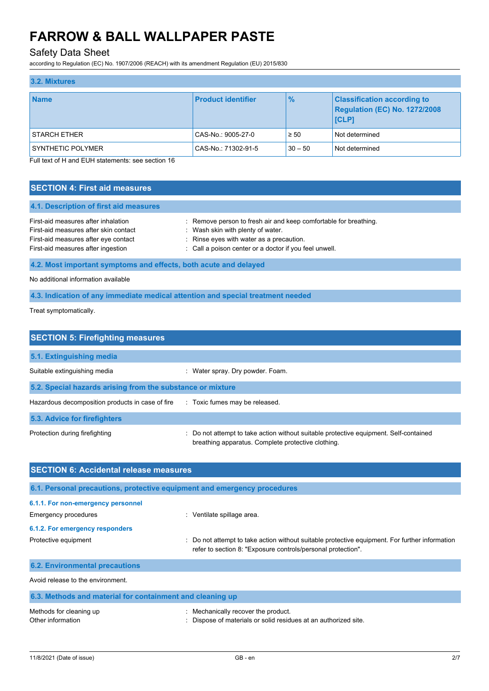# Safety Data Sheet

according to Regulation (EC) No. 1907/2006 (REACH) with its amendment Regulation (EU) 2015/830

| 3.2. Mixtures            |                           |               |                                                                                     |  |  |  |
|--------------------------|---------------------------|---------------|-------------------------------------------------------------------------------------|--|--|--|
| <b>Name</b>              | <b>Product identifier</b> | $\frac{9}{6}$ | <b>Classification according to</b><br><b>Regulation (EC) No. 1272/2008</b><br>[CLP] |  |  |  |
| <b>STARCH ETHER</b>      | CAS-No.: 9005-27-0        | $\geq 50$     | Not determined                                                                      |  |  |  |
| <b>SYNTHETIC POLYMER</b> | CAS-No.: 71302-91-5       | $30 - 50$     | Not determined                                                                      |  |  |  |

Full text of H and EUH statements: see section 16

# **SECTION 4: First aid measures 4.1. Description of first aid measures** First-aid measures after inhalation : Remove person to fresh air and keep comfortable for breathing. First-aid measures after skin contact : Wash skin with plenty of water. First-aid measures after eye contact : Rinse eyes with water as a precaution. First-aid measures after ingestion : Call a poison center or a doctor if you feel unwell. **4.2. Most important symptoms and effects, both acute and delayed** No additional information available

# **4.3. Indication of any immediate medical attention and special treatment needed**

Treat symptomatically.

| <b>SECTION 5: Firefighting measures</b>                    |                                                                                                                                             |  |  |  |
|------------------------------------------------------------|---------------------------------------------------------------------------------------------------------------------------------------------|--|--|--|
| 5.1. Extinguishing media                                   |                                                                                                                                             |  |  |  |
| Suitable extinguishing media                               | : Water spray. Dry powder. Foam.                                                                                                            |  |  |  |
| 5.2. Special hazards arising from the substance or mixture |                                                                                                                                             |  |  |  |
| Hazardous decomposition products in case of fire           | : Toxic fumes may be released.                                                                                                              |  |  |  |
| 5.3. Advice for firefighters                               |                                                                                                                                             |  |  |  |
| Protection during firefighting                             | : Do not attempt to take action without suitable protective equipment. Self-contained<br>breathing apparatus. Complete protective clothing. |  |  |  |

| <b>SECTION 6: Accidental release measures</b>                            |                                                                                                                                                                |  |  |  |
|--------------------------------------------------------------------------|----------------------------------------------------------------------------------------------------------------------------------------------------------------|--|--|--|
| 6.1. Personal precautions, protective equipment and emergency procedures |                                                                                                                                                                |  |  |  |
| 6.1.1. For non-emergency personnel                                       |                                                                                                                                                                |  |  |  |
| Emergency procedures                                                     | : Ventilate spillage area.                                                                                                                                     |  |  |  |
| 6.1.2. For emergency responders                                          |                                                                                                                                                                |  |  |  |
| Protective equipment                                                     | : Do not attempt to take action without suitable protective equipment. For further information<br>refer to section 8: "Exposure controls/personal protection". |  |  |  |
| <b>6.2. Environmental precautions</b>                                    |                                                                                                                                                                |  |  |  |
| Avoid release to the environment.                                        |                                                                                                                                                                |  |  |  |
| 6.3. Methods and material for containment and cleaning up                |                                                                                                                                                                |  |  |  |
| Methods for cleaning up                                                  | Mechanically recover the product                                                                                                                               |  |  |  |

| Methods for cleaning up | : Mechanically recover the product.                             |
|-------------------------|-----------------------------------------------------------------|
| Other information       | : Dispose of materials or solid residues at an authorized site. |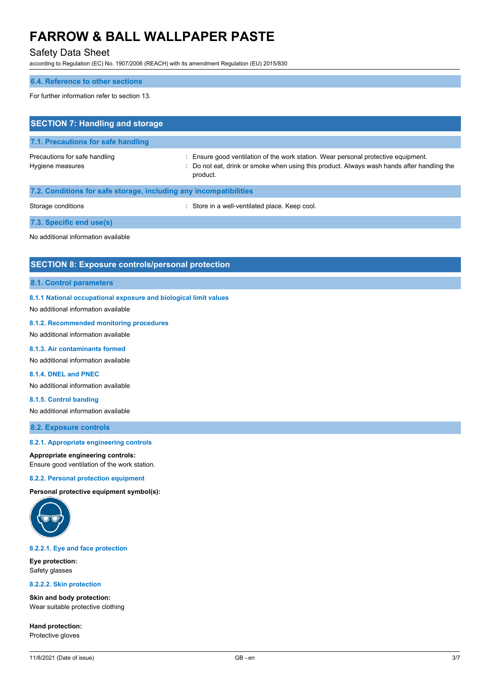# Safety Data Sheet

according to Regulation (EC) No. 1907/2006 (REACH) with its amendment Regulation (EU) 2015/830

#### **6.4. Reference to other sections**

For further information refer to section 13.

| <b>SECTION 7: Handling and storage</b>                            |                                                                                                                                                                                            |  |  |  |
|-------------------------------------------------------------------|--------------------------------------------------------------------------------------------------------------------------------------------------------------------------------------------|--|--|--|
| 7.1. Precautions for safe handling                                |                                                                                                                                                                                            |  |  |  |
| Precautions for safe handling<br>Hygiene measures                 | Ensure good ventilation of the work station. Wear personal protective equipment.<br>: Do not eat, drink or smoke when using this product. Always wash hands after handling the<br>product. |  |  |  |
| 7.2. Conditions for safe storage, including any incompatibilities |                                                                                                                                                                                            |  |  |  |
| Storage conditions                                                | : Store in a well-ventilated place. Keep cool.                                                                                                                                             |  |  |  |
| 7.3. Specific end use(s)                                          |                                                                                                                                                                                            |  |  |  |

No additional information available

### **SECTION 8: Exposure controls/personal protection**

#### **8.1. Control parameters**

#### **8.1.1 National occupational exposure and biological limit values**

No additional information available

#### **8.1.2. Recommended monitoring procedures**

No additional information available

#### **8.1.3. Air contaminants formed**

No additional information available

### **8.1.4. DNEL and PNEC**

No additional information available

**8.1.5. Control banding** No additional information available

**8.2. Exposure controls**

### **8.2.1. Appropriate engineering controls**

#### **Appropriate engineering controls:**

Ensure good ventilation of the work station.

### **8.2.2. Personal protection equipment**

**Personal protective equipment symbol(s):**



### **8.2.2.1. Eye and face protection**

**Eye protection:** Safety glasses

### **8.2.2.2. Skin protection**

**Skin and body protection:** Wear suitable protective clothing

**Hand protection:** Protective gloves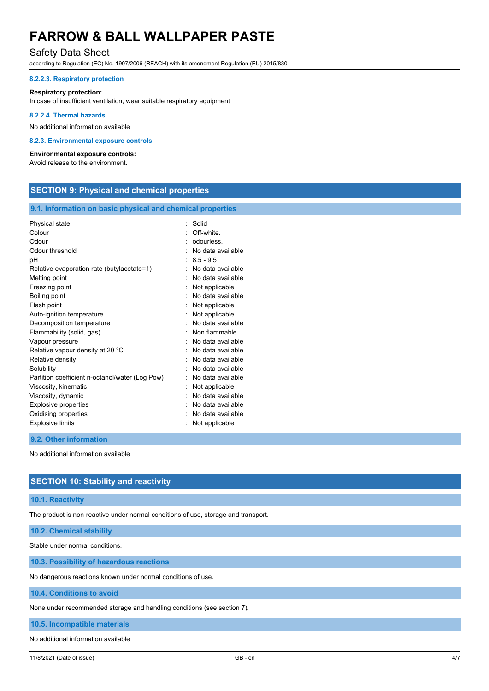# Safety Data Sheet

according to Regulation (EC) No. 1907/2006 (REACH) with its amendment Regulation (EU) 2015/830

#### **8.2.2.3. Respiratory protection**

#### **Respiratory protection:**

In case of insufficient ventilation, wear suitable respiratory equipment

#### **8.2.2.4. Thermal hazards**

No additional information available

#### **8.2.3. Environmental exposure controls**

#### **Environmental exposure controls:**

Avoid release to the environment.

# **SECTION 9: Physical and chemical properties**

#### **9.1. Information on basic physical and chemical properties**

| Physical state                                  | ٠ | Solid             |
|-------------------------------------------------|---|-------------------|
| Colour                                          |   | Off-white.        |
| Odour                                           |   | odourless         |
| Odour threshold                                 |   | No data available |
| рH                                              |   | $8.5 - 9.5$       |
| Relative evaporation rate (butylacetate=1)      |   | No data available |
| Melting point                                   |   | No data available |
| Freezing point                                  |   | Not applicable    |
| Boiling point                                   |   | No data available |
| Flash point                                     |   | Not applicable    |
| Auto-ignition temperature                       |   | Not applicable    |
| Decomposition temperature                       |   | No data available |
| Flammability (solid, gas)                       |   | Non flammable.    |
| Vapour pressure                                 |   | No data available |
| Relative vapour density at 20 °C                |   | No data available |
| Relative density                                |   | No data available |
| Solubility                                      |   | No data available |
| Partition coefficient n-octanol/water (Log Pow) |   | No data available |
| Viscosity, kinematic                            |   | Not applicable    |
| Viscosity, dynamic                              |   | No data available |
| Explosive properties                            |   | No data available |
| Oxidising properties                            |   | No data available |
| <b>Explosive limits</b>                         |   | Not applicable    |

#### **9.2. Other information**

No additional information available

### **SECTION 10: Stability and reactivity**

#### **10.1. Reactivity**

The product is non-reactive under normal conditions of use, storage and transport.

**10.2. Chemical stability**

Stable under normal conditions.

#### **10.3. Possibility of hazardous reactions**

No dangerous reactions known under normal conditions of use.

**10.4. Conditions to avoid**

None under recommended storage and handling conditions (see section 7).

**10.5. Incompatible materials**

No additional information available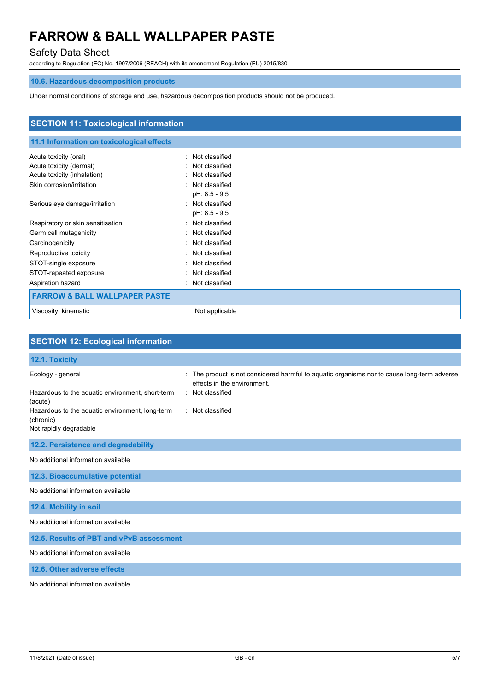# Safety Data Sheet

according to Regulation (EC) No. 1907/2006 (REACH) with its amendment Regulation (EU) 2015/830

# **10.6. Hazardous decomposition products**

Under normal conditions of storage and use, hazardous decomposition products should not be produced.

| <b>SECTION 11: Toxicological information</b> |                      |  |
|----------------------------------------------|----------------------|--|
|                                              |                      |  |
| 11.1 Information on toxicological effects    |                      |  |
| Acute toxicity (oral)                        | Not classified<br>۰. |  |
| Acute toxicity (dermal)                      | Not classified<br>۰  |  |
| Acute toxicity (inhalation)                  | Not classified<br>۰. |  |
| Skin corrosion/irritation                    | Not classified<br>۰. |  |
|                                              | pH: 8.5 - 9.5        |  |
| Serious eye damage/irritation                | : Not classified     |  |
|                                              | pH: 8.5 - 9.5        |  |
| Respiratory or skin sensitisation            | Not classified<br>٠  |  |
| Germ cell mutagenicity                       | Not classified<br>۰  |  |
| Carcinogenicity                              | : Not classified     |  |
| Reproductive toxicity                        | Not classified<br>٠. |  |
| STOT-single exposure                         | Not classified<br>٠  |  |
| STOT-repeated exposure                       | Not classified<br>٠  |  |
| Aspiration hazard                            | Not classified<br>٠  |  |
| <b>FARROW &amp; BALL WALLPAPER PASTE</b>     |                      |  |
| Viscosity, kinematic                         | Not applicable       |  |

| <b>SECTION 12: Ecological information</b>                    |                                                                                                                          |
|--------------------------------------------------------------|--------------------------------------------------------------------------------------------------------------------------|
| 12.1. Toxicity                                               |                                                                                                                          |
| Ecology - general                                            | The product is not considered harmful to aquatic organisms nor to cause long-term adverse<br>effects in the environment. |
| Hazardous to the aquatic environment, short-term<br>(acute)  | : Not classified                                                                                                         |
| Hazardous to the aquatic environment, long-term<br>(chronic) | : Not classified                                                                                                         |
| Not rapidly degradable                                       |                                                                                                                          |
| 12.2. Persistence and degradability                          |                                                                                                                          |
| No additional information available                          |                                                                                                                          |
| 12.3. Bioaccumulative potential                              |                                                                                                                          |
| No additional information available                          |                                                                                                                          |
| 12.4. Mobility in soil                                       |                                                                                                                          |
| No additional information available                          |                                                                                                                          |
| 12.5. Results of PBT and vPvB assessment                     |                                                                                                                          |
| No additional information available                          |                                                                                                                          |
| 12.6. Other adverse effects                                  |                                                                                                                          |
|                                                              |                                                                                                                          |

No additional information available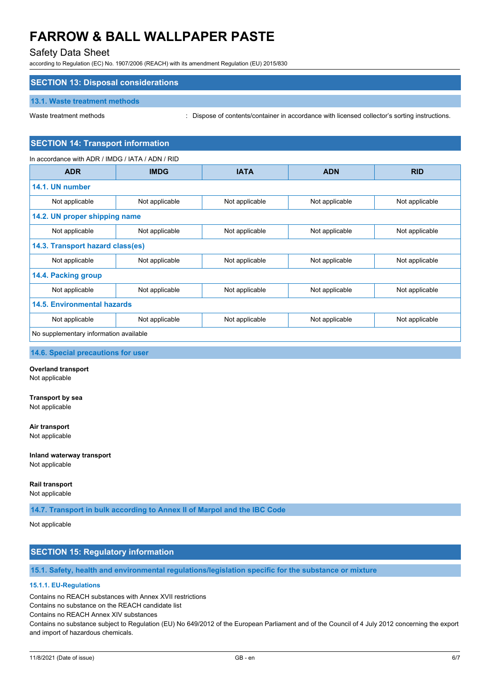# Safety Data Sheet

according to Regulation (EC) No. 1907/2006 (REACH) with its amendment Regulation (EU) 2015/830

# **SECTION 13: Disposal considerations**

#### **13.1. Waste treatment methods**

Waste treatment methods : Dispose of contents/container in accordance with licensed collector's sorting instructions.

### **SECTION 14: Transport information**

| In accordance with ADR / IMDG / IATA / ADN / RID |                |                |                |                |  |  |  |
|--------------------------------------------------|----------------|----------------|----------------|----------------|--|--|--|
| <b>ADR</b>                                       | <b>IMDG</b>    | <b>IATA</b>    | <b>ADN</b>     | <b>RID</b>     |  |  |  |
| 14.1. UN number                                  |                |                |                |                |  |  |  |
| Not applicable                                   | Not applicable | Not applicable | Not applicable | Not applicable |  |  |  |
| 14.2. UN proper shipping name                    |                |                |                |                |  |  |  |
| Not applicable                                   | Not applicable | Not applicable | Not applicable | Not applicable |  |  |  |
| 14.3. Transport hazard class(es)                 |                |                |                |                |  |  |  |
| Not applicable                                   | Not applicable | Not applicable | Not applicable | Not applicable |  |  |  |
| 14.4. Packing group                              |                |                |                |                |  |  |  |
| Not applicable                                   | Not applicable | Not applicable | Not applicable | Not applicable |  |  |  |
| <b>14.5. Environmental hazards</b>               |                |                |                |                |  |  |  |
| Not applicable                                   | Not applicable | Not applicable | Not applicable | Not applicable |  |  |  |
| No supplementary information available           |                |                |                |                |  |  |  |

**14.6. Special precautions for user**

#### **Overland transport**

Not applicable

#### **Transport by sea**

Not applicable

### **Air transport**

Not applicable

# **Inland waterway transport**

Not applicable

#### **Rail transport**

Not applicable

**14.7. Transport in bulk according to Annex II of Marpol and the IBC Code**

### Not applicable

# **SECTION 15: Regulatory information**

**15.1. Safety, health and environmental regulations/legislation specific for the substance or mixture**

#### **15.1.1. EU-Regulations**

Contains no REACH substances with Annex XVII restrictions

Contains no substance on the REACH candidate list

Contains no REACH Annex XIV substances

Contains no substance subject to Regulation (EU) No 649/2012 of the European Parliament and of the Council of 4 July 2012 concerning the export and import of hazardous chemicals.